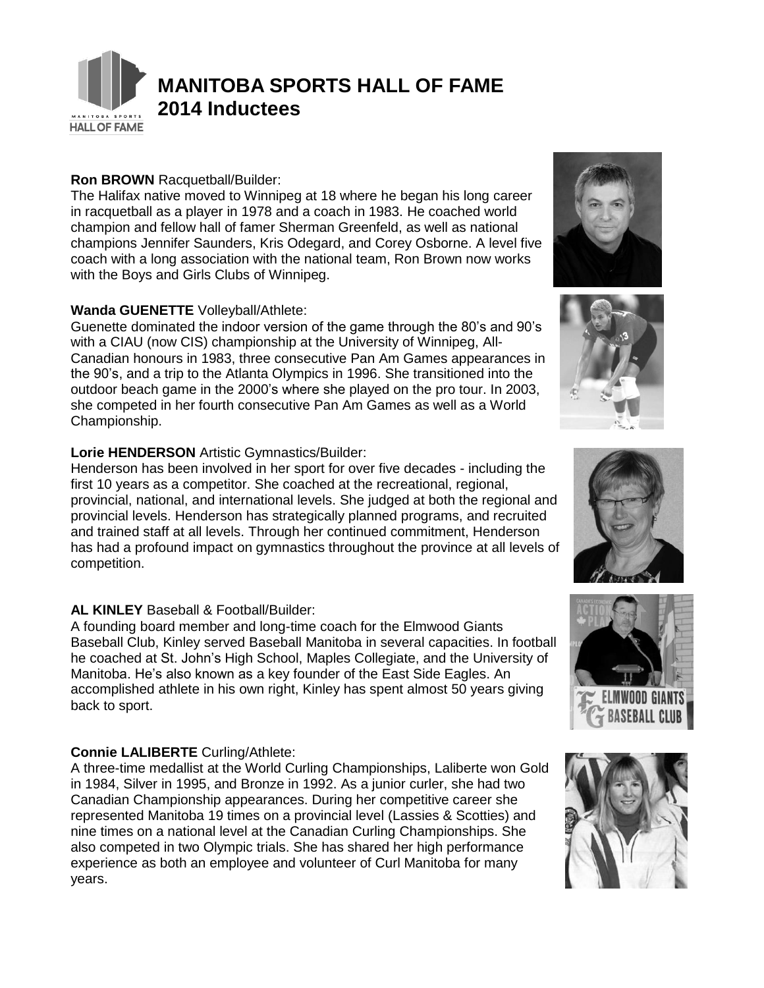

# **MANITOBA SPORTS HALL OF FAME 2014 Inductees**

## **Ron BROWN** Racquetball/Builder:

The Halifax native moved to Winnipeg at 18 where he began his long career in racquetball as a player in 1978 and a coach in 1983. He coached world champion and fellow hall of famer Sherman Greenfeld, as well as national champions Jennifer Saunders, Kris Odegard, and Corey Osborne. A level five coach with a long association with the national team, Ron Brown now works with the Boys and Girls Clubs of Winnipeg.

### **Wanda GUENETTE** Volleyball/Athlete:

Guenette dominated the indoor version of the game through the 80's and 90's with a CIAU (now CIS) championship at the University of Winnipeg, All-Canadian honours in 1983, three consecutive Pan Am Games appearances in the 90's, and a trip to the Atlanta Olympics in 1996. She transitioned into the outdoor beach game in the 2000's where she played on the pro tour. In 2003, she competed in her fourth consecutive Pan Am Games as well as a World Championship.

## **Lorie HENDERSON** Artistic Gymnastics/Builder:

Henderson has been involved in her sport for over five decades - including the first 10 years as a competitor. She coached at the recreational, regional, provincial, national, and international levels. She judged at both the regional and provincial levels. Henderson has strategically planned programs, and recruited and trained staff at all levels. Through her continued commitment, Henderson has had a profound impact on gymnastics throughout the province at all levels of competition.

# **AL KINLEY** Baseball & Football/Builder:

A founding board member and long-time coach for the Elmwood Giants Baseball Club, Kinley served Baseball Manitoba in several capacities. In football he coached at St. John's High School, Maples Collegiate, and the University of Manitoba. He's also known as a key founder of the East Side Eagles. An accomplished athlete in his own right, Kinley has spent almost 50 years giving back to sport.

# **Connie LALIBERTE** Curling/Athlete:

A three-time medallist at the World Curling Championships, Laliberte won Gold in 1984, Silver in 1995, and Bronze in 1992. As a junior curler, she had two Canadian Championship appearances. During her competitive career she represented Manitoba 19 times on a provincial level (Lassies & Scotties) and nine times on a national level at the Canadian Curling Championships. She also competed in two Olympic trials. She has shared her high performance experience as both an employee and volunteer of Curl Manitoba for many years.